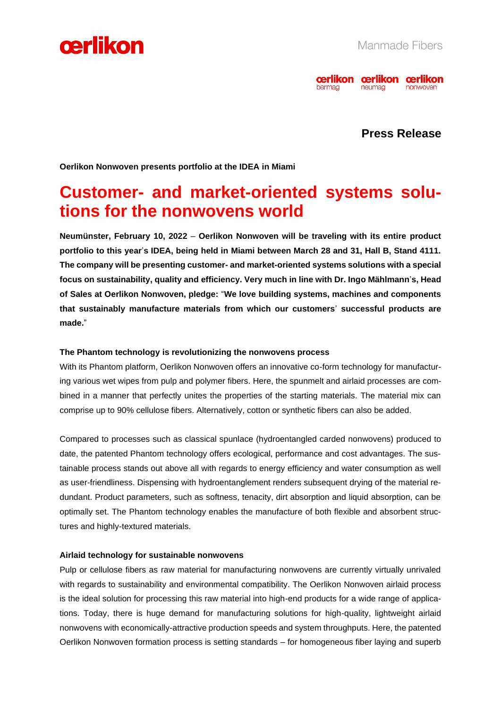



### **Press Release**

**Oerlikon Nonwoven presents portfolio at the IDEA in Miami**

## **Customer- and market-oriented systems solutions for the nonwovens world**

**Neumünster, February 10, 2022** – **Oerlikon Nonwoven will be traveling with its entire product portfolio to this year**'**s IDEA, being held in Miami between March 28 and 31, Hall B, Stand 4111. The company will be presenting customer- and market-oriented systems solutions with a special focus on sustainability, quality and efficiency. Very much in line with Dr. Ingo Mählmann**'**s, Head of Sales at Oerlikon Nonwoven, pledge:** "**We love building systems, machines and components that sustainably manufacture materials from which our customers**' **successful products are made.**"

#### **The Phantom technology is revolutionizing the nonwovens process**

With its Phantom platform, Oerlikon Nonwoven offers an innovative co-form technology for manufacturing various wet wipes from pulp and polymer fibers. Here, the spunmelt and airlaid processes are combined in a manner that perfectly unites the properties of the starting materials. The material mix can comprise up to 90% cellulose fibers. Alternatively, cotton or synthetic fibers can also be added.

Compared to processes such as classical spunlace (hydroentangled carded nonwovens) produced to date, the patented Phantom technology offers ecological, performance and cost advantages. The sustainable process stands out above all with regards to energy efficiency and water consumption as well as user-friendliness. Dispensing with hydroentanglement renders subsequent drying of the material redundant. Product parameters, such as softness, tenacity, dirt absorption and liquid absorption, can be optimally set. The Phantom technology enables the manufacture of both flexible and absorbent structures and highly-textured materials.

#### **Airlaid technology for sustainable nonwovens**

Pulp or cellulose fibers as raw material for manufacturing nonwovens are currently virtually unrivaled with regards to sustainability and environmental compatibility. The Oerlikon Nonwoven airlaid process is the ideal solution for processing this raw material into high-end products for a wide range of applications. Today, there is huge demand for manufacturing solutions for high-quality, lightweight airlaid nonwovens with economically-attractive production speeds and system throughputs. Here, the patented Oerlikon Nonwoven formation process is setting standards – for homogeneous fiber laying and superb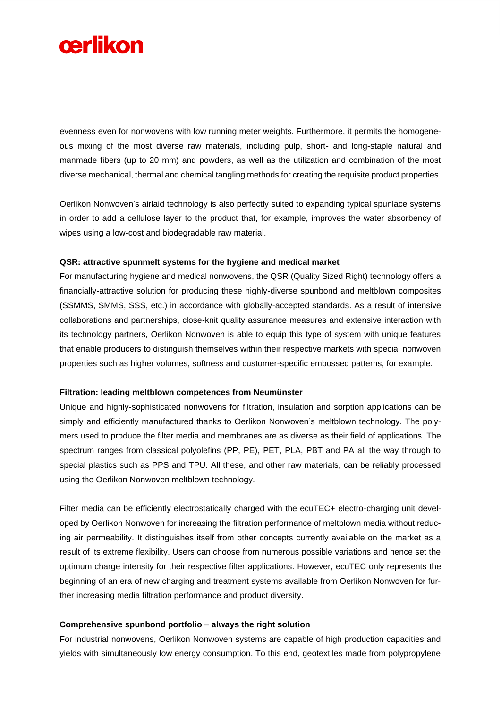

evenness even for nonwovens with low running meter weights. Furthermore, it permits the homogeneous mixing of the most diverse raw materials, including pulp, short- and long-staple natural and manmade fibers (up to 20 mm) and powders, as well as the utilization and combination of the most diverse mechanical, thermal and chemical tangling methods for creating the requisite product properties.

Oerlikon Nonwoven's airlaid technology is also perfectly suited to expanding typical spunlace systems in order to add a cellulose layer to the product that, for example, improves the water absorbency of wipes using a low-cost and biodegradable raw material.

#### **QSR: attractive spunmelt systems for the hygiene and medical market**

For manufacturing hygiene and medical nonwovens, the QSR (Quality Sized Right) technology offers a financially-attractive solution for producing these highly-diverse spunbond and meltblown composites (SSMMS, SMMS, SSS, etc.) in accordance with globally-accepted standards. As a result of intensive collaborations and partnerships, close-knit quality assurance measures and extensive interaction with its technology partners, Oerlikon Nonwoven is able to equip this type of system with unique features that enable producers to distinguish themselves within their respective markets with special nonwoven properties such as higher volumes, softness and customer-specific embossed patterns, for example.

#### **Filtration: leading meltblown competences from Neumünster**

Unique and highly-sophisticated nonwovens for filtration, insulation and sorption applications can be simply and efficiently manufactured thanks to Oerlikon Nonwoven's meltblown technology. The polymers used to produce the filter media and membranes are as diverse as their field of applications. The spectrum ranges from classical polyolefins (PP, PE), PET, PLA, PBT and PA all the way through to special plastics such as PPS and TPU. All these, and other raw materials, can be reliably processed using the Oerlikon Nonwoven meltblown technology.

Filter media can be efficiently electrostatically charged with the ecuTEC+ electro-charging unit developed by Oerlikon Nonwoven for increasing the filtration performance of meltblown media without reducing air permeability. It distinguishes itself from other concepts currently available on the market as a result of its extreme flexibility. Users can choose from numerous possible variations and hence set the optimum charge intensity for their respective filter applications. However, ecuTEC only represents the beginning of an era of new charging and treatment systems available from Oerlikon Nonwoven for further increasing media filtration performance and product diversity.

#### **Comprehensive spunbond portfolio** – **always the right solution**

For industrial nonwovens, Oerlikon Nonwoven systems are capable of high production capacities and yields with simultaneously low energy consumption. To this end, geotextiles made from polypropylene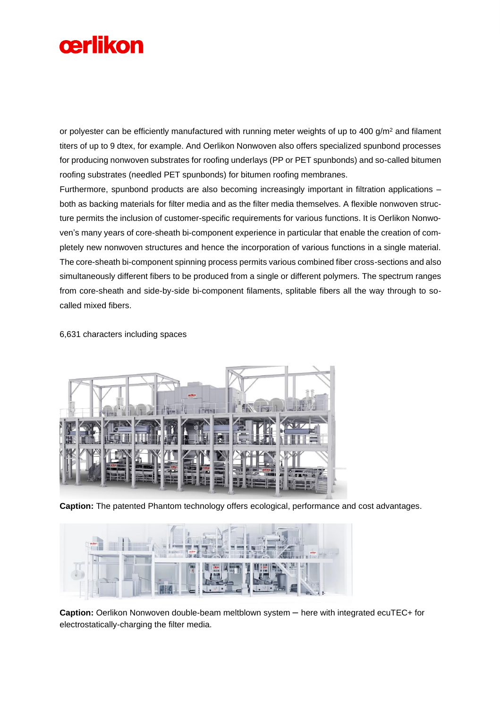

or polyester can be efficiently manufactured with running meter weights of up to  $400$  g/m<sup>2</sup> and filament titers of up to 9 dtex, for example. And Oerlikon Nonwoven also offers specialized spunbond processes for producing nonwoven substrates for roofing underlays (PP or PET spunbonds) and so-called bitumen roofing substrates (needled PET spunbonds) for bitumen roofing membranes.

Furthermore, spunbond products are also becoming increasingly important in filtration applications – both as backing materials for filter media and as the filter media themselves. A flexible nonwoven structure permits the inclusion of customer-specific requirements for various functions. It is Oerlikon Nonwoven's many years of core-sheath bi-component experience in particular that enable the creation of completely new nonwoven structures and hence the incorporation of various functions in a single material. The core-sheath bi-component spinning process permits various combined fiber cross-sections and also simultaneously different fibers to be produced from a single or different polymers. The spectrum ranges from core-sheath and side-by-side bi-component filaments, splitable fibers all the way through to socalled mixed fibers.

6,631 characters including spaces



**Caption:** The patented Phantom technology offers ecological, performance and cost advantages.



**Caption:** Oerlikon Nonwoven double-beam meltblown system – here with integrated ecuTEC+ for electrostatically-charging the filter media.